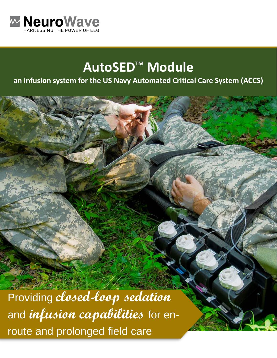

# **AutoSED<sup>™</sup> Module**

### **an infusion system for the US Navy Automated Critical Care System (ACCS)**

Providing **closed-loop sedation**  and **infusion capabilities** for enroute and prolonged field care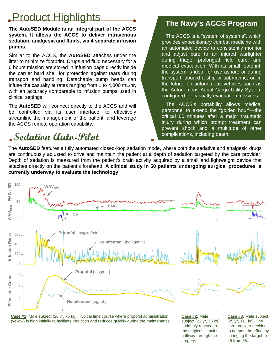# Product Highlights **The Navy's ACCS Program**

**The AutoSED Module is an integral part of the ACCS system. It allows the ACCS to deliver intravenous sedation, analgesia and fluids, via 4 separate infusion pumps.**

Similar to the ACCS, the **AutoSED** attaches under the litter to minimize footprint. Drugs and fluid necessary for a 6 hours mission are stored in infusion bags directly inside the carrier hard shell for protection against tears during transport and handling. Detachable pump heads can infuse the casualty at rates ranging from 1 to 4,000 mL/hr, with an accuracy comparable to infusion pumps used in clinical settings.

The **AutoSED** will connect directly to the ACCS and will be controlled via its user interface, to effectively streamline the management of the patient, and leverage the ACCS remote operation capability.

# **Sedation Auto-Pilot**

The ACCS is a "system of systems", which provides expeditionary combat medicine with an automated device to consistently monitor and adjust care to an injured warfighter during triage, prolonged field care, and medical evacuation. With its small footprint, the system is ideal for use ashore or during transport; aboard a ship or submarine; or, in the future, on autonomous vehicles such as the Autonomous Aerial Cargo Utility System configured for casualty evacuation missions.

The ACCS's portability allows medical personnel to extend the "golden hour"—the critical 60 minutes after a major traumatic injury during which prompt treatment can prevent shock and a multitude of other complications, including death.

surgery.

The **AutoSED** features a fully automated closed-loop sedation mode, where both the sedative and analgesic drugs are continuously adjusted to drive and maintain the patient at a depth of sedation targeted by the care provider. Depth of sedation is measured from the patient's brain activity acquired by a small and lightweight device that attaches directly on the patient's forehead. **A clinical study in 60 patients undergoing surgical procedures is currently underway to evaluate the technology**.

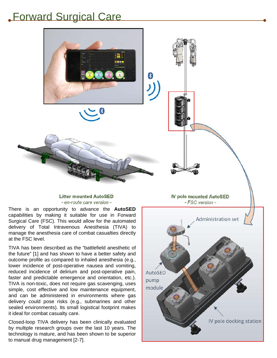### Forward Surgical Care



**Litter mounted AutoSED** - en-route care version -

There is an opportunity to advance the **AutoSED** capabilities by making it suitable for use in Forward Surgical Care (FSC). This would allow for the automated delivery of Total Intravenous Anesthesia (TIVA) to manage the anesthesia care of combat casualties directly at the FSC level.

TIVA has been described as the "battlefield anesthetic of the future" [1] and has shown to have a better safety and outcome profile as compared to inhaled anesthesia (e.g., lower incidence of post-operative nausea and vomiting, reduced incidence of delirium and post-operative pain, faster and predictable emergence and orientation, etc.). TIVA is non-toxic, does not require gas scavenging, uses simple, cost effective and low maintenance equipment, and can be administered in environments where gas delivery could pose risks (e.g., submarines and other sealed environments). Its small logistical footprint makes it ideal for combat casualty care.

Closed-loop TIVA delivery has been clinically evaluated by multiple research groups over the last 10 years. The technology is mature, and has been shown to be superior to manual drug management [2-7].

**IV pole mounted AutoSED** - FSC version -